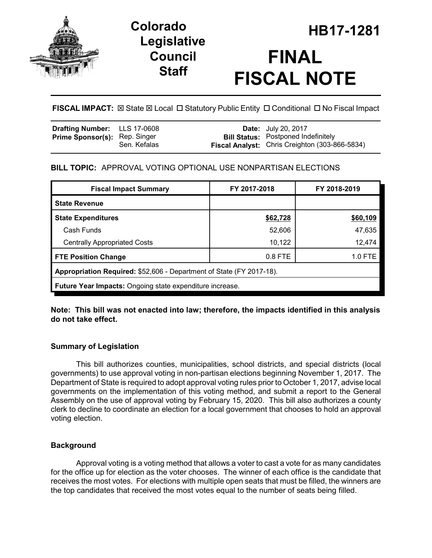

# **Legislative Council Staff**

# HB **HB17-1281 Colorado FINAL FISCAL NOTE**

**FISCAL IMPACT:**  $\boxtimes$  **State**  $\boxtimes$  **Local □ Statutory Public Entity □ Conditional □ No Fiscal Impact** 

| <b>Drafting Number:</b> LLS 17-0608  |              | <b>Date:</b> July 20, 2017                                                                          |
|--------------------------------------|--------------|-----------------------------------------------------------------------------------------------------|
| <b>Prime Sponsor(s): Rep. Singer</b> | Sen. Kefalas | <b>Bill Status:</b> Postponed Indefinitely<br><b>Fiscal Analyst:</b> Chris Creighton (303-866-5834) |
|                                      |              |                                                                                                     |

# **BILL TOPIC:** APPROVAL VOTING OPTIONAL USE NONPARTISAN ELECTIONS

| <b>Fiscal Impact Summary</b>                                         | FY 2017-2018 | FY 2018-2019 |  |  |  |  |
|----------------------------------------------------------------------|--------------|--------------|--|--|--|--|
| <b>State Revenue</b>                                                 |              |              |  |  |  |  |
| <b>State Expenditures</b>                                            | \$62,728     | \$60,109     |  |  |  |  |
| Cash Funds                                                           | 52,606       | 47,635       |  |  |  |  |
| <b>Centrally Appropriated Costs</b>                                  | 10,122       | 12,474       |  |  |  |  |
| <b>FTE Position Change</b>                                           | $0.8$ FTE    | 1.0 FTE      |  |  |  |  |
| Appropriation Required: \$52,606 - Department of State (FY 2017-18). |              |              |  |  |  |  |
| Future Year Impacts: Ongoing state expenditure increase.             |              |              |  |  |  |  |

### **Note: This bill was not enacted into law; therefore, the impacts identified in this analysis do not take effect.**

## **Summary of Legislation**

This bill authorizes counties, municipalities, school districts, and special districts (local governments) to use approval voting in non-partisan elections beginning November 1, 2017. The Department of State is required to adopt approval voting rules prior to October 1, 2017, advise local governments on the implementation of this voting method, and submit a report to the General Assembly on the use of approval voting by February 15, 2020. This bill also authorizes a county clerk to decline to coordinate an election for a local government that chooses to hold an approval voting election.

#### **Background**

Approval voting is a voting method that allows a voter to cast a vote for as many candidates for the office up for election as the voter chooses. The winner of each office is the candidate that receives the most votes. For elections with multiple open seats that must be filled, the winners are the top candidates that received the most votes equal to the number of seats being filled.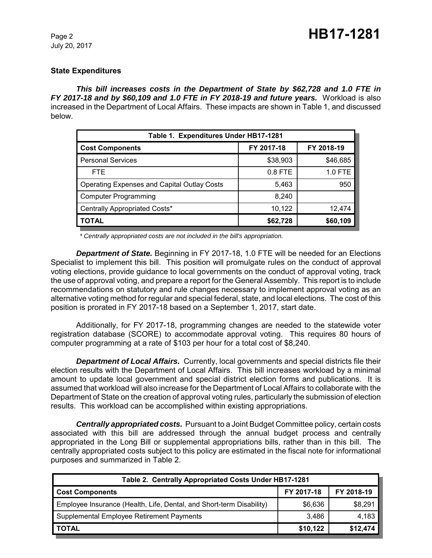July 20, 2017

#### **State Expenditures**

*This bill increases costs in the Department of State by \$62,728 and 1.0 FTE in FY 2017-18 and by \$60,109 and 1.0 FTE in FY 2018-19 and future years.* Workload is also increased in the Department of Local Affairs. These impacts are shown in Table 1, and discussed below.

| Table 1. Expenditures Under HB17-1281              |            |            |  |  |  |
|----------------------------------------------------|------------|------------|--|--|--|
| <b>Cost Components</b>                             | FY 2017-18 | FY 2018-19 |  |  |  |
| <b>Personal Services</b>                           | \$38,903   | \$46,685   |  |  |  |
| FTE.                                               | $0.8$ FTE  | 1.0 FTE    |  |  |  |
| <b>Operating Expenses and Capital Outlay Costs</b> | 5,463      | 950        |  |  |  |
| <b>Computer Programming</b>                        | 8,240      |            |  |  |  |
| Centrally Appropriated Costs*                      | 10,122     | 12,474     |  |  |  |
| TOTAL                                              | \$62,728   | \$60,109   |  |  |  |

 *\* Centrally appropriated costs are not included in the bill's appropriation.*

*Department of State.* Beginning in FY 2017-18, 1.0 FTE will be needed for an Elections Specialist to implement this bill. This position will promulgate rules on the conduct of approval voting elections, provide guidance to local governments on the conduct of approval voting, track the use of approval voting, and prepare a report for the General Assembly. This report is to include recommendations on statutory and rule changes necessary to implement approval voting as an alternative voting method for regular and special federal, state, and local elections. The cost of this position is prorated in FY 2017-18 based on a September 1, 2017, start date.

Additionally, for FY 2017-18, programming changes are needed to the statewide voter registration database (SCORE) to accommodate approval voting. This requires 80 hours of computer programming at a rate of \$103 per hour for a total cost of \$8,240.

*Department of Local Affairs.* Currently, local governments and special districts file their election results with the Department of Local Affairs. This bill increases workload by a minimal amount to update local government and special district election forms and publications. It is assumed that workload will also increase for the Department of Local Affairs to collaborate with the Department of State on the creation of approval voting rules, particularly the submission of election results. This workload can be accomplished within existing appropriations.

*Centrally appropriated costs.* Pursuant to a Joint Budget Committee policy, certain costs associated with this bill are addressed through the annual budget process and centrally appropriated in the Long Bill or supplemental appropriations bills, rather than in this bill. The centrally appropriated costs subject to this policy are estimated in the fiscal note for informational purposes and summarized in Table 2.

| Table 2. Centrally Appropriated Costs Under HB17-1281                |            |            |  |  |  |
|----------------------------------------------------------------------|------------|------------|--|--|--|
| <b>Cost Components</b>                                               | FY 2017-18 | FY 2018-19 |  |  |  |
| Employee Insurance (Health, Life, Dental, and Short-term Disability) | \$6,636    | \$8,291    |  |  |  |
| Supplemental Employee Retirement Payments                            | 3.486      | 4,183      |  |  |  |
| <b>TOTAL</b>                                                         | \$10,122   | \$12,474   |  |  |  |